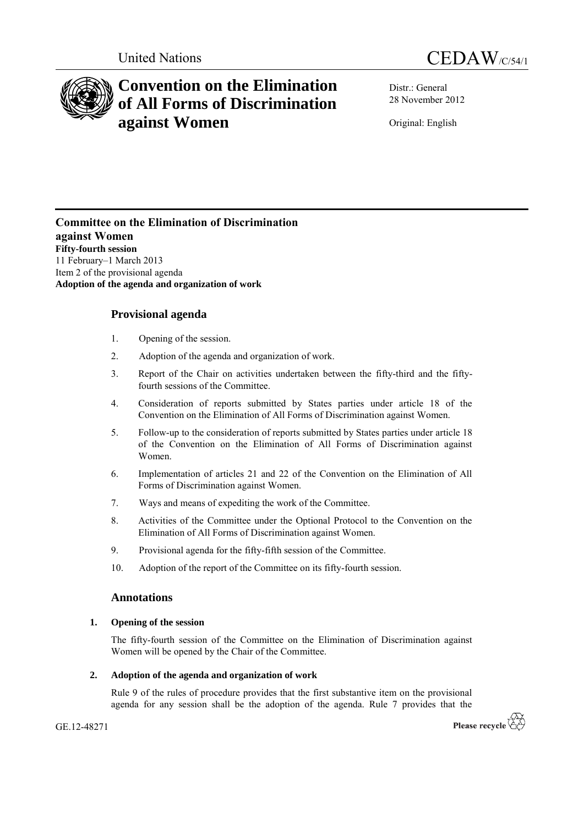



# **Convention on the Elimination of All Forms of Discrimination against Women**

Distr.: General 28 November 2012

Original: English

**Committee on the Elimination of Discrimination against Women Fifty-fourth session** 11 February–1 March 2013 Item 2 of the provisional agenda **Adoption of the agenda and organization of work**

# **Provisional agenda**

- 1. Opening of the session.
- 2. Adoption of the agenda and organization of work.
- 3. Report of the Chair on activities undertaken between the fifty-third and the fiftyfourth sessions of the Committee.
- 4. Consideration of reports submitted by States parties under article 18 of the Convention on the Elimination of All Forms of Discrimination against Women.
- 5. Follow-up to the consideration of reports submitted by States parties under article 18 of the Convention on the Elimination of All Forms of Discrimination against Women.
- 6. Implementation of articles 21 and 22 of the Convention on the Elimination of All Forms of Discrimination against Women.
- 7. Ways and means of expediting the work of the Committee.
- 8. Activities of the Committee under the Optional Protocol to the Convention on the Elimination of All Forms of Discrimination against Women.
- 9. Provisional agenda for the fifty-fifth session of the Committee.
- 10. Adoption of the report of the Committee on its fifty-fourth session.

# **Annotations**

# **1. Opening of the session**

The fifty-fourth session of the Committee on the Elimination of Discrimination against Women will be opened by the Chair of the Committee.

# **2. Adoption of the agenda and organization of work**

Rule 9 of the rules of procedure provides that the first substantive item on the provisional agenda for any session shall be the adoption of the agenda. Rule 7 provides that the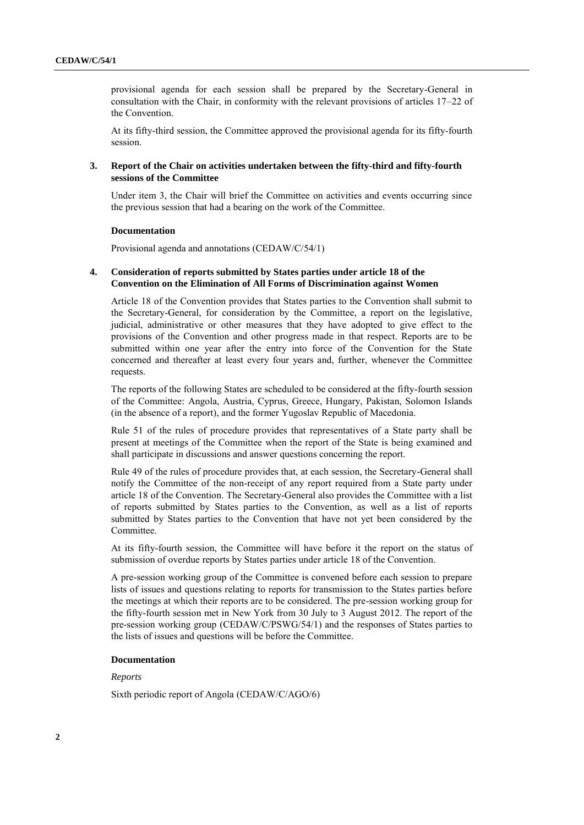provisional agenda for each session shall be prepared by the Secretary-General in consultation with the Chair, in conformity with the relevant provisions of articles 17–22 of the Convention.

At its fifty-third session, the Committee approved the provisional agenda for its fifty-fourth session.

#### **3. Report of the Chair on activities undertaken between the fifty-third and fifty-fourth sessions of the Committee**

Under item 3, the Chair will brief the Committee on activities and events occurring since the previous session that had a bearing on the work of the Committee.

#### **Documentation**

Provisional agenda and annotations (CEDAW/C/54/1)

#### **4. Consideration of reports submitted by States parties under article 18 of the Convention on the Elimination of All Forms of Discrimination against Women**

Article 18 of the Convention provides that States parties to the Convention shall submit to the Secretary-General, for consideration by the Committee, a report on the legislative, judicial, administrative or other measures that they have adopted to give effect to the provisions of the Convention and other progress made in that respect. Reports are to be submitted within one year after the entry into force of the Convention for the State concerned and thereafter at least every four years and, further, whenever the Committee requests.

The reports of the following States are scheduled to be considered at the fifty-fourth session of the Committee: Angola, Austria, Cyprus, Greece, Hungary, Pakistan, Solomon Islands (in the absence of a report), and the former Yugoslav Republic of Macedonia.

Rule 51 of the rules of procedure provides that representatives of a State party shall be present at meetings of the Committee when the report of the State is being examined and shall participate in discussions and answer questions concerning the report.

Rule 49 of the rules of procedure provides that, at each session, the Secretary-General shall notify the Committee of the non-receipt of any report required from a State party under article 18 of the Convention. The Secretary-General also provides the Committee with a list of reports submitted by States parties to the Convention, as well as a list of reports submitted by States parties to the Convention that have not yet been considered by the Committee.

At its fifty-fourth session, the Committee will have before it the report on the status of submission of overdue reports by States parties under article 18 of the Convention.

A pre-session working group of the Committee is convened before each session to prepare lists of issues and questions relating to reports for transmission to the States parties before the meetings at which their reports are to be considered. The pre-session working group for the fifty-fourth session met in New York from 30 July to 3 August 2012. The report of the pre-session working group (CEDAW/C/PSWG/54/1) and the responses of States parties to the lists of issues and questions will be before the Committee.

## **Documentation**

*Reports*

Sixth periodic report of Angola (CEDAW/C/AGO/6)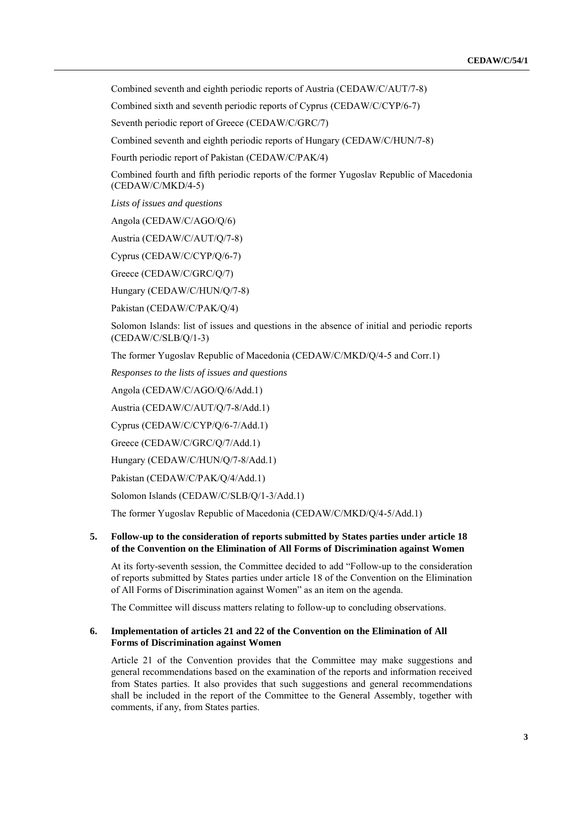Combined seventh and eighth periodic reports of Austria (CEDAW/C/AUT/7-8)

Combined sixth and seventh periodic reports of Cyprus (CEDAW/C/CYP/6-7)

Seventh periodic report of Greece (CEDAW/C/GRC/7)

Combined seventh and eighth periodic reports of Hungary (CEDAW/C/HUN/7-8)

Fourth periodic report of Pakistan (CEDAW/C/PAK/4)

Combined fourth and fifth periodic reports of the former Yugoslav Republic of Macedonia (CEDAW/C/MKD/4-5)

*Lists of issues and questions*

Angola (CEDAW/C/AGO/Q/6)

Austria (CEDAW/C/AUT/Q/7-8)

Cyprus (CEDAW/C/CYP/Q/6-7)

Greece (CEDAW/C/GRC/Q/7)

Hungary (CEDAW/C/HUN/Q/7-8)

Pakistan (CEDAW/C/PAK/Q/4)

Solomon Islands: list of issues and questions in the absence of initial and periodic reports (CEDAW/C/SLB/Q/1-3)

The former Yugoslav Republic of Macedonia (CEDAW/C/MKD/Q/4-5 and Corr.1)

*Responses to the lists of issues and questions*

Angola (CEDAW/C/AGO/Q/6/Add.1)

Austria (CEDAW/C/AUT/Q/7-8/Add.1)

Cyprus (CEDAW/C/CYP/Q/6-7/Add.1)

Greece (CEDAW/C/GRC/Q/7/Add.1)

Hungary (CEDAW/C/HUN/Q/7-8/Add.1)

Pakistan (CEDAW/C/PAK/Q/4/Add.1)

Solomon Islands (CEDAW/C/SLB/Q/1-3/Add.1)

The former Yugoslav Republic of Macedonia (CEDAW/C/MKD/Q/4-5/Add.1)

#### **5. Follow-up to the consideration of reports submitted by States parties under article 18 of the Convention on the Elimination of All Forms of Discrimination against Women**

At its forty-seventh session, the Committee decided to add "Follow-up to the consideration of reports submitted by States parties under article 18 of the Convention on the Elimination of All Forms of Discrimination against Women" as an item on the agenda.

The Committee will discuss matters relating to follow-up to concluding observations.

## **6. Implementation of articles 21 and 22 of the Convention on the Elimination of All Forms of Discrimination against Women**

Article 21 of the Convention provides that the Committee may make suggestions and general recommendations based on the examination of the reports and information received from States parties. It also provides that such suggestions and general recommendations shall be included in the report of the Committee to the General Assembly, together with comments, if any, from States parties.